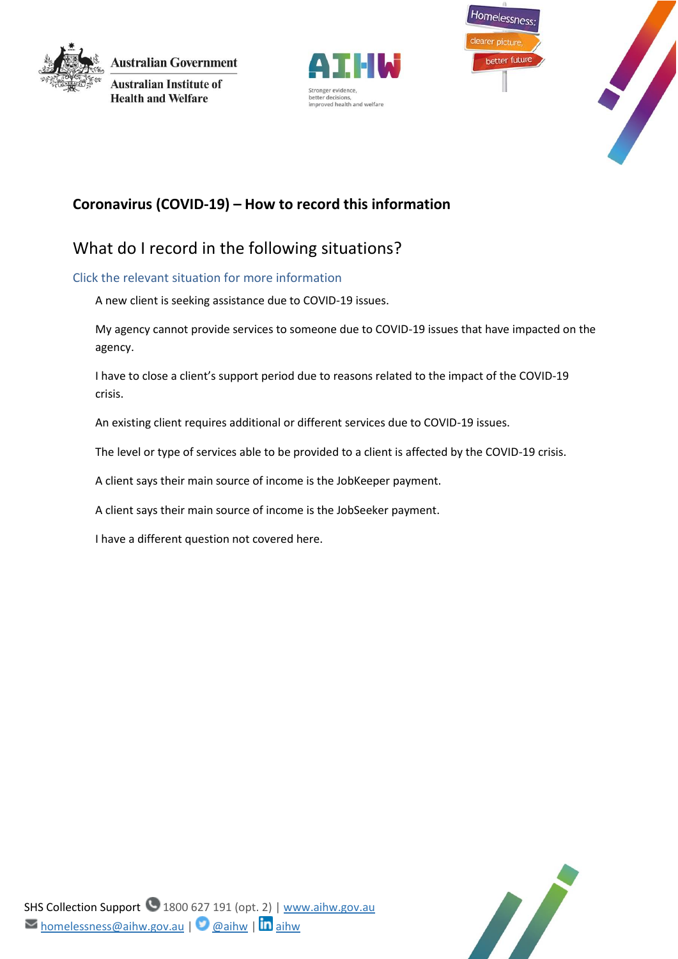

**Australian Government Australian Institute of Health and Welfare** 







## **Coronavirus (COVID-19) – How to record this information**

# What do I record in the following situations?

## Click the relevant situation for more information

[A new client is seeking assistance due to COVID-19 issues.](#page-1-0)

[My agency cannot provide services to someone due to COVID-19 issues that have impacted on the](#page-1-1)  [agency.](#page-1-1)

I have to close a client's support period due [to reasons related to the impact of the COVID-19](#page-1-2)  [crisis.](#page-1-2)

[An existing client requires additional or different services due to COVID-19 issues.](#page-1-3)

[The level or type of services able to be provided to a client is affected by the COVID-19 crisis.](#page-2-0)

[A client says their main source of income is the JobKeeper payment.](#page-2-1)

[A client says their main source of income is the JobSeeker payment.](#page-2-2)

[I have a different question not covered here.](#page-3-0)

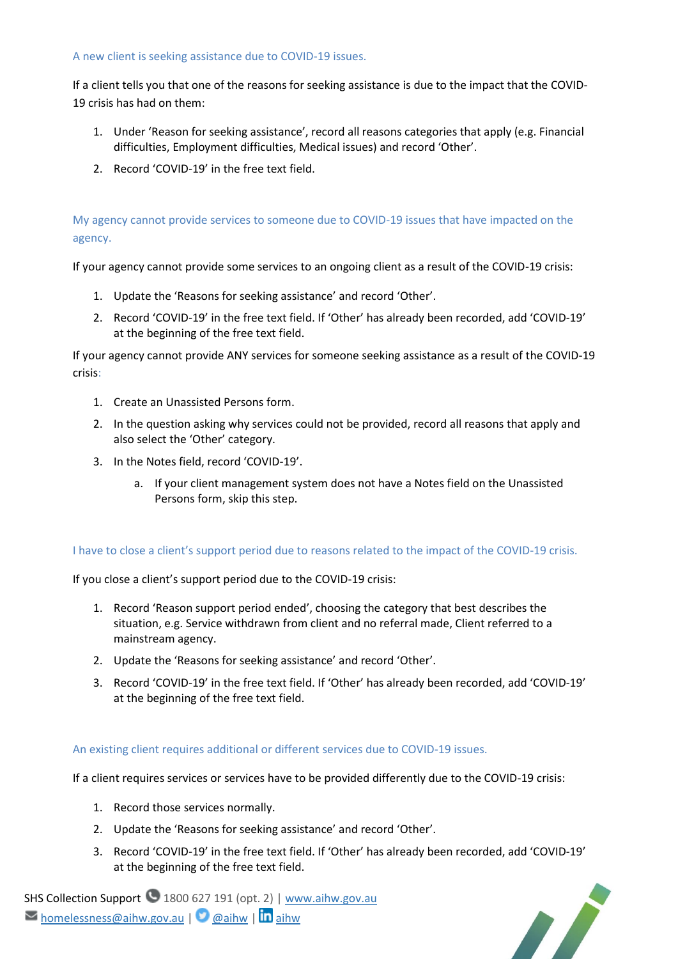#### <span id="page-1-0"></span>A new client is seeking assistance due to COVID-19 issues.

If a client tells you that one of the reasons for seeking assistance is due to the impact that the COVID-19 crisis has had on them:

- 1. Under 'Reason for seeking assistance', record all reasons categories that apply (e.g. Financial difficulties, Employment difficulties, Medical issues) and record 'Other'.
- 2. Record 'COVID-19' in the free text field.

## <span id="page-1-1"></span>My agency cannot provide services to someone due to COVID-19 issues that have impacted on the agency.

If your agency cannot provide some services to an ongoing client as a result of the COVID-19 crisis:

- 1. Update the 'Reasons for seeking assistance' and record 'Other'.
- 2. Record 'COVID-19' in the free text field. If 'Other' has already been recorded, add 'COVID-19' at the beginning of the free text field.

If your agency cannot provide ANY services for someone seeking assistance as a result of the COVID-19 crisis:

- 1. Create an Unassisted Persons form.
- 2. In the question asking why services could not be provided, record all reasons that apply and also select the 'Other' category.
- 3. In the Notes field, record 'COVID-19'.
	- a. If your client management system does not have a Notes field on the Unassisted Persons form, skip this step.

#### <span id="page-1-2"></span>I have to close a client's support period due to reasons related to the impact of the COVID-19 crisis.

If you close a client's support period due to the COVID-19 crisis:

- 1. Record 'Reason support period ended', choosing the category that best describes the situation, e.g. Service withdrawn from client and no referral made, Client referred to a mainstream agency.
- 2. Update the 'Reasons for seeking assistance' and record 'Other'.
- 3. Record 'COVID-19' in the free text field. If 'Other' has already been recorded, add 'COVID-19' at the beginning of the free text field.

#### <span id="page-1-3"></span>An existing client requires additional or different services due to COVID-19 issues.

If a client requires services or services have to be provided differently due to the COVID-19 crisis:

- 1. Record those services normally.
- 2. Update the 'Reasons for seeking assistance' and record 'Other'.
- 3. Record 'COVID-19' in the free text field. If 'Other' has already been recorded, add 'COVID-19' at the beginning of the free text field.

SHS Collection Support 1800 627 191 (opt. 2) [| www.aihw.gov.au](http://www.aihw.gov.au/)  $\triangleright$  [homelessness@aihw.gov.au](mailto:homelessness@aihw.gov.au) |  $\triangleright$  [@aihw](https://twitter.com/aihw) |  $\ln$ [aihw](https://www.linkedin.com/company/australian-institute-of-health-and-welfare/)

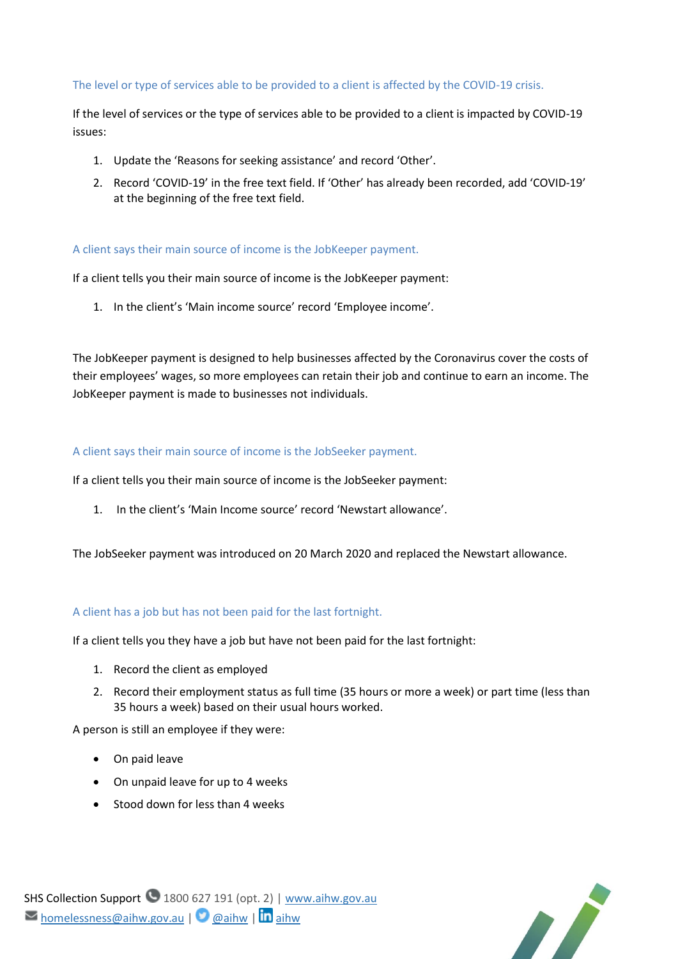#### <span id="page-2-0"></span>The level or type of services able to be provided to a client is affected by the COVID-19 crisis.

If the level of services or the type of services able to be provided to a client is impacted by COVID-19 issues:

- 1. Update the 'Reasons for seeking assistance' and record 'Other'.
- 2. Record 'COVID-19' in the free text field. If 'Other' has already been recorded, add 'COVID-19' at the beginning of the free text field.

#### <span id="page-2-1"></span>A client says their main source of income is the JobKeeper payment.

If a client tells you their main source of income is the JobKeeper payment:

1. In the client's 'Main income source' record 'Employee income'.

The JobKeeper payment is designed to help businesses affected by the Coronavirus cover the costs of their employees' wages, so more employees can retain their job and continue to earn an income. The JobKeeper payment is made to businesses not individuals.

#### <span id="page-2-2"></span>A client says their main source of income is the JobSeeker payment.

If a client tells you their main source of income is the JobSeeker payment:

1. In the client's 'Main Income source' record 'Newstart allowance'.

The JobSeeker payment was introduced on 20 March 2020 and replaced the Newstart allowance.

#### A client has a job but has not been paid for the last fortnight.

If a client tells you they have a job but have not been paid for the last fortnight:

- 1. Record the client as employed
- 2. Record their employment status as full time (35 hours or more a week) or part time (less than 35 hours a week) based on their usual hours worked.

A person is still an employee if they were:

- On paid leave
- On unpaid leave for up to 4 weeks
- Stood down for less than 4 weeks